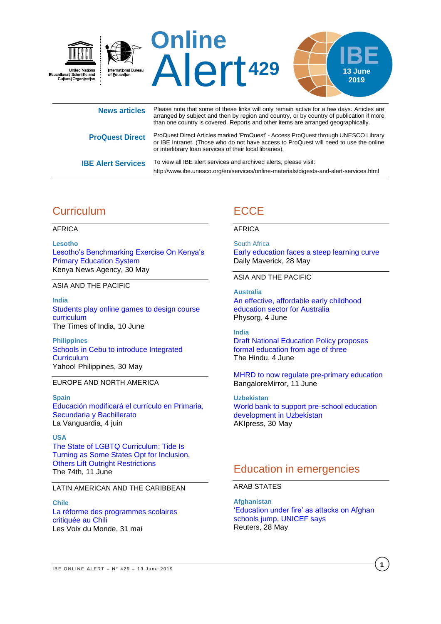

| <b>NEWS ALLICIES</b>      | arranged by subject and then by region and country, or by country of publication if more<br>than one country is covered. Reports and other items are arranged geographically.                                                             |
|---------------------------|-------------------------------------------------------------------------------------------------------------------------------------------------------------------------------------------------------------------------------------------|
| <b>ProQuest Direct</b>    | ProQuest Direct Articles marked 'ProQuest' - Access ProQuest through UNESCO Library<br>or IBE Intranet. (Those who do not have access to ProQuest will need to use the online<br>or interlibrary loan services of their local libraries). |
| <b>IBE Alert Services</b> | To view all IBE alert services and archived alerts, please visit:<br>http://www.ibe.unesco.org/en/services/online-materials/digests-and-alert-services.html                                                                               |

# **Curriculum**

AFRICA

**Lesotho** [Lesotho's Benchmarking Exercise On Kenya's](http://www.kenyanews.go.ke/lesothos-benchmarking-exercise-on-kenyas-primary-education-system/)  [Primary Education System](http://www.kenyanews.go.ke/lesothos-benchmarking-exercise-on-kenyas-primary-education-system/) Kenya News Agency, 30 May

ASIA AND THE PACIFIC

**India** [Students play online games to design course](https://timesofindia.indiatimes.com/home/education/news/students-play-online-games-to-design-course-curriculum/articleshow/69728043.cms)  [curriculum](https://timesofindia.indiatimes.com/home/education/news/students-play-online-games-to-design-course-curriculum/articleshow/69728043.cms) The Times of India, 10 June

**Philippines** [Schools in Cebu to introduce Integrated](https://ph.news.yahoo.com/schools-cebu-introduce-integrated-curriculum-142000063.html)  **[Curriculum](https://ph.news.yahoo.com/schools-cebu-introduce-integrated-curriculum-142000063.html)** Yahoo! Philippines, 30 May

### EUROPE AND NORTH AMERICA

**Spain** [Educación modificará el currículo en Primaria,](https://www.lavanguardia.com/vida/20190604/462675853071/educacion-modificara-el-curriculo-en-primaria-secundaria-y-bachillerato.html)  [Secundaria y Bachillerato](https://www.lavanguardia.com/vida/20190604/462675853071/educacion-modificara-el-curriculo-en-primaria-secundaria-y-bachillerato.html) La Vanguardia, 4 juin

**USA** The [State of LGBTQ Curriculum: Tide Is](https://www.the74million.org/the-state-of-lgbtq-curriculum-tide-is-turning-as-some-states-opt-for-inclusion-others-lift-outright-restrictions/)  [Turning as Some States Opt for Inclusion,](https://www.the74million.org/the-state-of-lgbtq-curriculum-tide-is-turning-as-some-states-opt-for-inclusion-others-lift-outright-restrictions/)  [Others Lift Outright Restrictions](https://www.the74million.org/the-state-of-lgbtq-curriculum-tide-is-turning-as-some-states-opt-for-inclusion-others-lift-outright-restrictions/) The 74th, 11 June

#### LATIN AMERICAN AND THE CARIBBEAN

**Chile** [La réforme des programmes scolaires](http://www.rfi.fr/ameriques/20190531-reforme-programmes-scolaires-exaspere-chiliens)  [critiquée au Chili](http://www.rfi.fr/ameriques/20190531-reforme-programmes-scolaires-exaspere-chiliens) Les Voix du Monde, 31 mai

# **ECCE**

#### AFRICA

South Africa [Early education faces a steep learning curve](https://www.dailymaverick.co.za/article/2019-05-28-early-education-faces-a-steep-learning-curve/) Daily Maverick, 28 May

#### ASIA AND THE PACIFIC

**Australia** [An effective, affordable early childhood](https://phys.org/news/2019-06-effective-early-childhood-sector-australia.html)  [education sector for Australia](https://phys.org/news/2019-06-effective-early-childhood-sector-australia.html) Physorg, 4 June

#### **India**

[Draft National Education Policy proposes](https://www.thehindu.com/education/draft-national-education-policy-proposes-formal-education-from-age-of-three/article27706234.ece)  [formal education from age of three](https://www.thehindu.com/education/draft-national-education-policy-proposes-formal-education-from-age-of-three/article27706234.ece) The Hindu, 4 June

[MHRD to now regulate pre-primary education](https://bangaloremirror.indiatimes.com/bangalore/others/mhrd-to-now-regulate-pre-primary-education/articleshow/69696530.cms) BangaloreMirror, 11 June

**Uzbekistan** [World bank to support pre-school education](https://akipress.com/news:619994:World_Bank_to_support_pre-school_education_development_in_Uzbekistan/) [development in Uzbekistan](https://akipress.com/news:619994:World_Bank_to_support_pre-school_education_development_in_Uzbekistan/) AKIpress, 30 May

## Education in emergencies

## ARAB STATES

**Afghanistan** ['Education under fire' as attacks on Afghan](https://www.reuters.com/article/us-afghanistan-education-violence/education-under-fire-as-attacks-on-afghan-schools-jump-unicef-says-idUSKCN1SY00H)  [schools jump, UNICEF says](https://www.reuters.com/article/us-afghanistan-education-violence/education-under-fire-as-attacks-on-afghan-schools-jump-unicef-says-idUSKCN1SY00H) Reuters, 28 May

**1**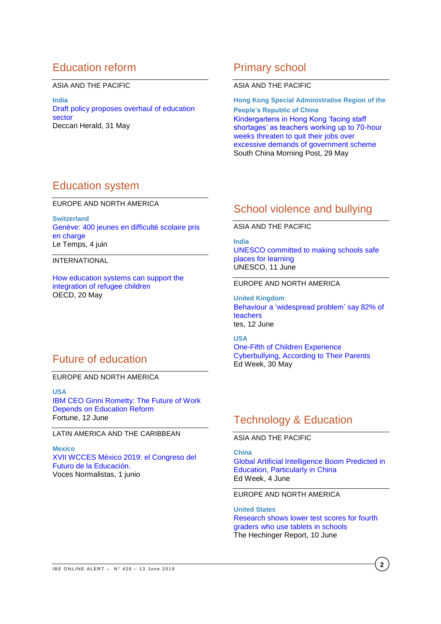# Education reform

ASIA AND THE PACIFIC

**India** [Draft policy proposes overhaul of education](https://www.deccanherald.com/national/draft-policy-proposes-overhaul-of-education-sector-737400.html)  [sector](https://www.deccanherald.com/national/draft-policy-proposes-overhaul-of-education-sector-737400.html) Deccan Herald, 31 May

## Primary school

#### ASIA AND THE PACIFIC

**Hong Kong Special Administrative Region of the People's Republic of China** [Kindergartens in Hong Kong 'facing staff](https://www.scmp.com/news/hong-kong/education/article/3012183/kindergartens-hong-kong-facing-staff-shortages-teachers)  [shortages' as teachers working up to 70-hour](https://www.scmp.com/news/hong-kong/education/article/3012183/kindergartens-hong-kong-facing-staff-shortages-teachers)  [weeks threaten to quit their jobs over](https://www.scmp.com/news/hong-kong/education/article/3012183/kindergartens-hong-kong-facing-staff-shortages-teachers)  [excessive demands of government scheme](https://www.scmp.com/news/hong-kong/education/article/3012183/kindergartens-hong-kong-facing-staff-shortages-teachers) South China Morning Post, 29 May

## Education system

EUROPE AND NORTH AMERICA

**Switzerland** [Genève: 400 jeunes en difficulté scolaire pris](https://www.letemps.ch/suisse/geneve-400-jeunes-difficulte-scolaire-pris-charge)  [en charge](https://www.letemps.ch/suisse/geneve-400-jeunes-difficulte-scolaire-pris-charge) Le Temps, 4 juin

INTERNATIONAL

[How education systems can support the](https://oecdedutoday.com/refugee-education-integration-policy-model-oecd/)  [integration of refugee children](https://oecdedutoday.com/refugee-education-integration-policy-model-oecd/) OECD, 20 May

## Future of education

### EUROPE AND NORTH AMERICA

**USA** [IBM CEO Ginni Rometty: The Future of Work](http://fortune.com/2019/06/12/ibm-ginni-rometty-hea-reform/?xid=gn_editorspicks)  [Depends on Education Reform](http://fortune.com/2019/06/12/ibm-ginni-rometty-hea-reform/?xid=gn_editorspicks) Fortune, 12 June

## LATIN AMERICA AND THE CARIBBEAN

**Mexico** [XVII WCCES México 2019: el Congreso del](https://vocesnormalistas.org/2019/06/01/xvii-wcces-mexico-2019-el-congreso-del-futuro-de-la-educacion/)  [Futuro de la Educación.](https://vocesnormalistas.org/2019/06/01/xvii-wcces-mexico-2019-el-congreso-del-futuro-de-la-educacion/) Voces Normalistas, 1 junio

## School violence and bullying

## ASIA AND THE PACIFIC

**India** [UNESCO committed to making schools safe](http://www.unesco.org/new/en/newdelhi/about-this-office/single-view/news/unesco_committed_to_making_schools_safe_places_for_learning/)  [places for learning](http://www.unesco.org/new/en/newdelhi/about-this-office/single-view/news/unesco_committed_to_making_schools_safe_places_for_learning/) UNESCO, 11 June

#### EUROPE AND NORTH AMERICA

**United Kingdom** [Behaviour a 'widespread problem'](https://www.tes.com/news/behaviour-widespread-problem-say-82-teachers) say 82% of [teachers](https://www.tes.com/news/behaviour-widespread-problem-say-82-teachers) tes, 12 June

## **USA**

One-Fifth [of Children Experience](http://blogs.edweek.org/edweek/rulesforengagement/2019/05/Survey_Cyberbullying_Parents_Instagram.html)  [Cyberbullying, According to Their Parents](http://blogs.edweek.org/edweek/rulesforengagement/2019/05/Survey_Cyberbullying_Parents_Instagram.html) Ed Week, 30 May

# Technology & Education

ASIA AND THE PACIFIC

**China**

Global [Artificial Intelligence Boom Predicted in](https://marketbrief.edweek.org/marketplace-k-12/global-artificial-intelligence-boom-predicted-education-particularly-china/)  [Education, Particularly in China](https://marketbrief.edweek.org/marketplace-k-12/global-artificial-intelligence-boom-predicted-education-particularly-china/) Ed Week, 4 June

#### EUROPE AND NORTH AMERICA

**United States** [Research shows lower test scores for fourth](https://hechingerreport.org/research-shows-lower-test-scores-for-fourth-graders-who-use-tablets-in-schools/)  [graders who use tablets in schools](https://hechingerreport.org/research-shows-lower-test-scores-for-fourth-graders-who-use-tablets-in-schools/) The Hechinger Report, 10 June